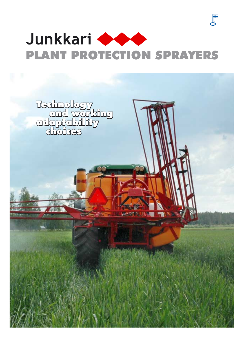

 $\mathbf{F}$ 

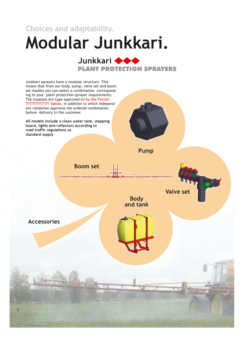**Choices and adaptability.**

# **Modular Junkkari.**



Junkkari sprayers have a modular structure. This means that from our body, pump, valve set and boom set models you can select a combination corresponding to your plant protection sprayer requirements. The modules are type-approved in /by the Finnish in addition to which independ-Vakola, ????????????????? ent validation approves the ordered combination before delivery to the customer.

**All models include a clean water tank, stepping board, lights and reflectors according to road traffic regulations as standard supply**

**Boom set**



**Pump**

**Accessories**

**Body and tank** **Valve set**

2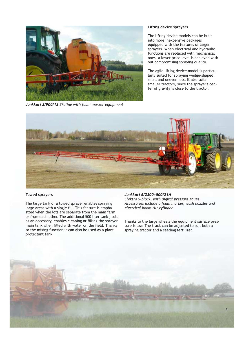

*Junkkari 3/900/12 Ekoline with foam marker equipment*

### **Lifting device sprayers**

The lifting device models can be built into more inexpensive packages equipped with the features of larger sprayers. When electrical and hydraulic functions are replaced with mechanical ones, a lower price level is achieved without compromising spraying quality.

The agile lifting device model is particularly suited for spraying wedge-shaped, small and uneven lots. It also suits smaller tractors, since the sprayer's center of gravity is close to the tractor.



#### **Towed sprayers**

The large tank of a towed sprayer enables spraying large areas with a single fill. This feature is emphasized when the lots are separate from the main farm or from each other. The additional 500 liter tank , sold as an accessory, enables cleaning or filling the sprayer main tank when filled with water on the field. Thanks to the mixing function it can also be used as a plant protectant tank.

### *Junkkari 6/2300+500/21H*

*Elektro 5-block, with digital pressure gauge. Accessories include a foam marker, wash nozzles and electrical boom tilt cylinder*

Thanks to the large wheels the equipment surface pressure is low. The track can be adjusted to suit both a spraying tractor and a seeding fertilizer.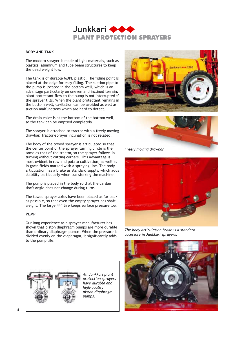

### **BODY AND TANK**

The modern sprayer is made of light materials, such as plastics, aluminum and tube beam structures to keep the dead weight low.

The tank is of durable MDPE plastic. The filling point is placed at the edge for easy filling. The suction pipe to the pump is located in the bottom well, which is an advantage particularly on uneven and inclined terrain: plant protectant flow to the pump is not interrupted if the sprayer tilts. When the plant protectant remains in the bottom well, cavitation can be avoided as well as suction malfunctions which are hard to detect.

The drain valve is at the bottom of the bottom well, so the tank can be emptied completely.

The sprayer is attached to tractor with a freely moving drawbar. Tractor-sprayer inclination is not related.

The body of the towed sprayer is articulated so that the center point of the sprayer turning circle is the same as that of the tractor, so the sprayer follows in turning without cutting corners. This advantage is most evident in row and potato cultivation, as well as in grain fields marked with a spraying line. The body articulation has a brake as standard supply, which adds stability particularly when transferring the machine.

The pump is placed in the body so that the cardan shaft angle does not change during turns.

The towed sprayer axles have been placed as far back as possible, so that even the empty sprayer has shaft weight. The large 44" tire keeps surface pressure low.

### **PUMP**

Our long experience as a sprayer manufacturer has shown that piston diaphragm pumps are more durable than ordinary diaphragm pumps. When the pressure is divided evenly on the diaphragm, it significantly adds to the pump life.



*All Junkkari plant protection sprayers have durable and high-quality piston diaphragm pumps.*





*Freely moving drawbar*



*The body articulation brake is a standard accessory in Junkkari sprayers.*

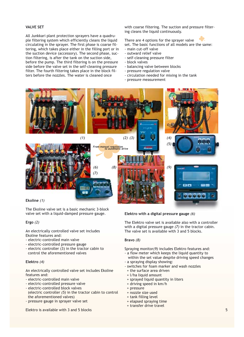### **VALVE SET**

All Junkkari plant protection sprayers have a quadruple filtering system which efficiently cleans the liquid circulating in the sprayer. The first phase is coarse filtering, which takes place either in the filling port or in the suction device (accessory). The second phase, suction filtering, is after the tank on the suction side, before the pump. The third filtering is on the pressure side before the valve set in the self-cleaning pressure filter. The fourth filtering takes place in the block filters before the nozzles. The water is cleaned once

with coarse filtering. The suction and pressure filtering cleans the liquid continuously.

There are 4 options for the sprayer valve set. The basic functions of all models are the same:

- main cut-off valve
- outward relief valve
- self-cleaning pressure filter
- block valves
- balancing valve between blocks
- pressure regulation valve
- circulation needed for mixing in the tank
- pressure measurement



The Ekoline valve set is a basic mechanic 3-block valve set with a liquid-damped pressure gauge.

### **Ergo** *(2)*

An electrically controlled valve set includes Ekoline features and:

- electric-controlled main valve
- electric-controlled pressure gauge
- electric controller (3) in the tractor cabin to control the aforementioned valves

### **Elektro** *(4)*

An electrically controlled valve set includes Ekoline features and:

- electric-controlled main valve
- electric-controlled pressure valve
- electric-controlled block valves (electric controller (5) in the tractor cabin to control the aforementioned valves)
- pressure gauge in sprayer valve set

**Elektro** *(6)* **with a digital pressure gauge**

The Elektro valve set is available also with a controller with a digital pressure gauge (7) in the tractor cabin. The valve set is available with 3 and 5 blocks.

### **Bravo** *(8)*

Spraying monitor(9) includes Elektro features and:

- a flow meter which keeps the liquid quantity to within the set value despite driving speed changes
- a spraying display showing:
- switches for foam marker and wash nozzles
- + the surface area driven + l/ha liquid amount
- + sprayed liquid quantity in liters
- + driving speed in km/h
- + pressure
- + nozzle size used
- + tank filling level
- + elapsed spraying time
- + transfer drive travel

Elektro is available with 3 and 5 blocks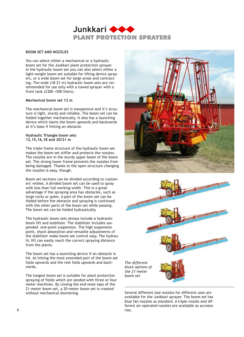

### **BOOM SET AND NOZZLES**

You can select either a mechanical or a hydraulic boom set for the Junkkari plant protection sprayer. In the hydraulic boom set you can also select either a light-weight boom set suitable for lifting device sprayers, or a wide boom set for large areas and contracting. The wide (18-21 m) hydraulic boom sets are recommended for use only with a towed sprayer with a front tank (2300 +500 liters).

### **Mechanical boom set 12 m**

The mechanical boom set is inexpensive and it's structure is light, sturdy and reliable. The boom set can be folded together mechanically. It also has a launching device which slants the boom upwards and backwards at it's base if hitting an obstacle.

### **Hydraulic Triangle boom sets 12,15,16,18 and 20/21 m**

The triple frame structure of the hydraulic boom set makes the boom set stiffer and protects the nozzles. The nozzles are in the sturdy upper beam of the boom set. The strong lower frame prevents the nozzles from being damaged. Thanks to the open structure changing the nozzles is easy, though.

Boom set sections can be divided according to customers' wishes. A divided boom set can be used to spray with less than full working width. This is a great advantage if the spraying area has obstacles, such as large rocks or poles. A part of the boom set can be folded before the obstacle and spraying is continued with the other parts of the boom set while passing. The boom set can be folded hydraulically.

The hydraulic boom sets always include a hydraulic boom lift and stabilizer. The stabilizer includes suspended one-point suspension. The high suspension point, shock absorption and versatile adjustments of the stabilizer make boom set control easy. The hydraulic lift can easily reach the correct spraying distance from the plants.

The boom set has a launching device if an obstacle is hit. At hitting the most extended part of the boom set folds upwards and the rest folds upwards and backwards.

The longest boom set is suitable for plant protection spraying of fields which are seeded with three or four meter machines. By closing the end-most taps of the 21-meter boom set, a 20-meter boom set is created without mechanical shortening.





Several different size nozzles for different uses are available for the Junkkari sprayer. The boom set has blue fan nozzles as standard. A triple nozzle and different air-operated nozzles are available as accesso-6 ries.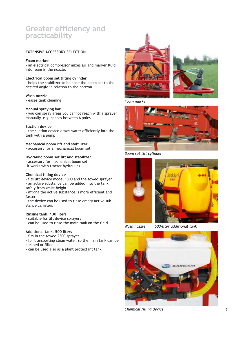# **Greater efficiency and practicability**

### **EXTENSIVE ACCESSORY SELECTION**

### **Foam marker**

- an electrical compressor mixes air and marker fluid into foam in the nozzle.

**Electrical boom set tilting cylinder** - helps the stabilizer to balance the boom set to the desired angle in relation to the horizon

## **Wash nozzle**

- eases tank cleaning

### **Manual spraying bar**

- you can spray areas you cannot reach with a sprayer manually, e.g. spaces between A poles

### **Suction device**

- the suction device draws water efficiently into the tank with a pump

### **Mechanical boom lift and stabilizer**

- accessory for a mechanical boom set

### **Hydraulic boom set lift and stabilizer**

- accessory for mechanical boom set it works with tractor hydraulics

### **Chemical filling device**

- fits lift device model 1300 and the towed sprayer - an active substance can be added into the tank safely from waist height

- mixing the active substance is more efficient and faster

- the device can be used to rinse empty active substance canisters

### **Rinsing tank, 130 liters**

- suitable for lift device sprayers
- can be used to rinse the main tank on the field

### **Additional tank, 500 liters**

- fits in the towed 2300-sprayer

- for transporting clean water, so the main tank can be cleaned or filled

- can be used also as a plant protectant tank





*Foam marker*



*Boom set tilt cylinder*





*Wash nozzle*

*500-liter additional tank*



*Chemical filling device*